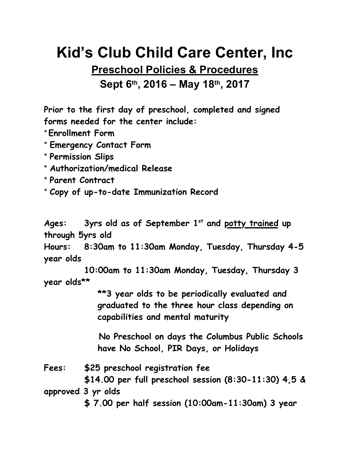## **Kid's Club Child Care Center, Inc**

## **Preschool Policies & Procedures Sept 6th, 2016 – May 18th, 2017**

**Prior to the first day of preschool, completed and signed forms needed for the center include:**

\***Enrollment Form**

\* **Emergency Contact Form**

\* **Permission Slips**

\* **Authorization/medical Release**

\* **Parent Contract**

\* **Copy of up-to-date Immunization Record**

Ages: 3yrs old as of September 1<sup>st</sup> and potty trained up **through 5yrs old**

**Hours: 8:30am to 11:30am Monday, Tuesday, Thursday 4-5 year olds**

**10:00am to 11:30am Monday, Tuesday, Thursday 3 year olds\*\***

> **\*\*3 year olds to be periodically evaluated and graduated to the three hour class depending on capabilities and mental maturity**

**No Preschool on days the Columbus Public Schools have No School, PIR Days, or Holidays**

**Fees: \$25 preschool registration fee \$14.00 per full preschool session (8:30-11:30) 4,5 & approved 3 yr olds**

**\$ 7.00 per half session (10:00am-11:30am) 3 year**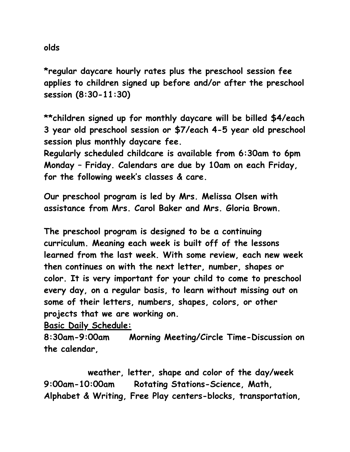**olds**

**\*regular daycare hourly rates plus the preschool session fee applies to children signed up before and/or after the preschool session (8:30-11:30)**

**\*\*children signed up for monthly daycare will be billed \$4/each 3 year old preschool session or \$7/each 4-5 year old preschool session plus monthly daycare fee.**

**Regularly scheduled childcare is available from 6:30am to 6pm Monday – Friday. Calendars are due by 10am on each Friday, for the following week's classes & care.**

**Our preschool program is led by Mrs. Melissa Olsen with assistance from Mrs. Carol Baker and Mrs. Gloria Brown.**

**The preschool program is designed to be a continuing curriculum. Meaning each week is built off of the lessons learned from the last week. With some review, each new week then continues on with the next letter, number, shapes or color. It is very important for your child to come to preschool every day, on a regular basis, to learn without missing out on some of their letters, numbers, shapes, colors, or other projects that we are working on.**

**Basic Daily Schedule:**

**8:30am-9:00am Morning Meeting/Circle Time-Discussion on the calendar,** 

 **weather, letter, shape and color of the day/week 9:00am-10:00am Rotating Stations-Science, Math, Alphabet & Writing, Free Play centers-blocks, transportation,**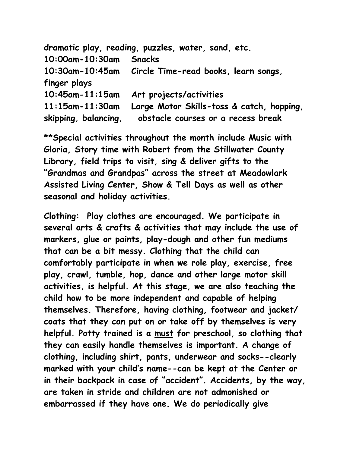|                         | dramatic play, reading, puzzles, water, sand, etc.   |
|-------------------------|------------------------------------------------------|
| $10:00$ am - $10:30$ am | <b>Snacks</b>                                        |
|                         | 10:30am-10:45am Circle Time-read books, learn songs, |
| finger plays            |                                                      |
| $10:45$ am- $11:15$ am  | Art projects/activities                              |
| $11:15$ am- $11:30$ am  | Large Motor Skills-toss & catch, hopping,            |
| skipping, balancing,    | obstacle courses or a recess break                   |

**\*\*Special activities throughout the month include Music with Gloria, Story time with Robert from the Stillwater County Library, field trips to visit, sing & deliver gifts to the "Grandmas and Grandpas" across the street at Meadowlark Assisted Living Center, Show & Tell Days as well as other seasonal and holiday activities.**

**Clothing: Play clothes are encouraged. We participate in several arts & crafts & activities that may include the use of markers, glue or paints, play-dough and other fun mediums that can be a bit messy. Clothing that the child can comfortably participate in when we role play, exercise, free play, crawl, tumble, hop, dance and other large motor skill activities, is helpful. At this stage, we are also teaching the child how to be more independent and capable of helping themselves. Therefore, having clothing, footwear and jacket/ coats that they can put on or take off by themselves is very helpful. Potty trained is a must for preschool, so clothing that they can easily handle themselves is important. A change of clothing, including shirt, pants, underwear and socks--clearly marked with your child's name--can be kept at the Center or in their backpack in case of "accident". Accidents, by the way, are taken in stride and children are not admonished or embarrassed if they have one. We do periodically give**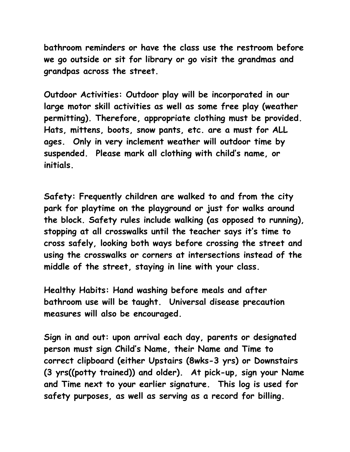**bathroom reminders or have the class use the restroom before we go outside or sit for library or go visit the grandmas and grandpas across the street.** 

**Outdoor Activities: Outdoor play will be incorporated in our large motor skill activities as well as some free play (weather permitting). Therefore, appropriate clothing must be provided. Hats, mittens, boots, snow pants, etc. are a must for ALL ages. Only in very inclement weather will outdoor time by suspended. Please mark all clothing with child's name, or initials.**

**Safety: Frequently children are walked to and from the city park for playtime on the playground or just for walks around the block. Safety rules include walking (as opposed to running), stopping at all crosswalks until the teacher says it's time to cross safely, looking both ways before crossing the street and using the crosswalks or corners at intersections instead of the middle of the street, staying in line with your class.**

**Healthy Habits: Hand washing before meals and after bathroom use will be taught. Universal disease precaution measures will also be encouraged.**

**Sign in and out: upon arrival each day, parents or designated person must sign Child's Name, their Name and Time to correct clipboard (either Upstairs (8wks-3 yrs) or Downstairs (3 yrs((potty trained)) and older). At pick-up, sign your Name and Time next to your earlier signature. This log is used for safety purposes, as well as serving as a record for billing.**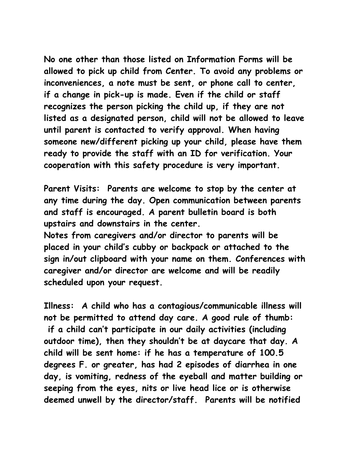**No one other than those listed on Information Forms will be allowed to pick up child from Center. To avoid any problems or inconveniences, a note must be sent, or phone call to center, if a change in pick-up is made. Even if the child or staff recognizes the person picking the child up, if they are not listed as a designated person, child will not be allowed to leave until parent is contacted to verify approval. When having someone new/different picking up your child, please have them ready to provide the staff with an ID for verification. Your cooperation with this safety procedure is very important.**

**Parent Visits: Parents are welcome to stop by the center at any time during the day. Open communication between parents and staff is encouraged. A parent bulletin board is both upstairs and downstairs in the center.** 

**Notes from caregivers and/or director to parents will be placed in your child's cubby or backpack or attached to the sign in/out clipboard with your name on them. Conferences with caregiver and/or director are welcome and will be readily scheduled upon your request.**

**Illness: A child who has a contagious/communicable illness will not be permitted to attend day care. A good rule of thumb: if a child can't participate in our daily activities (including outdoor time), then they shouldn't be at daycare that day. A child will be sent home: if he has a temperature of 100.5 degrees F. or greater, has had 2 episodes of diarrhea in one day, is vomiting, redness of the eyeball and matter building or seeping from the eyes, nits or live head lice or is otherwise deemed unwell by the director/staff. Parents will be notified**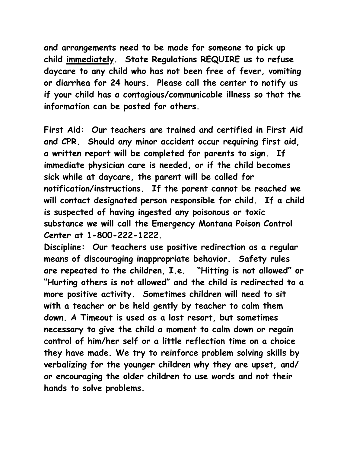**and arrangements need to be made for someone to pick up child immediately. State Regulations REQUIRE us to refuse daycare to any child who has not been free of fever, vomiting or diarrhea for 24 hours. Please call the center to notify us if your child has a contagious/communicable illness so that the information can be posted for others.**

**First Aid: Our teachers are trained and certified in First Aid and CPR. Should any minor accident occur requiring first aid, a written report will be completed for parents to sign. If immediate physician care is needed, or if the child becomes sick while at daycare, the parent will be called for notification/instructions. If the parent cannot be reached we will contact designated person responsible for child. If a child is suspected of having ingested any poisonous or toxic substance we will call the Emergency Montana Poison Control Center at 1-800-222-1222.**

**Discipline: Our teachers use positive redirection as a regular means of discouraging inappropriate behavior. Safety rules are repeated to the children, I.e. "Hitting is not allowed" or "Hurting others is not allowed" and the child is redirected to a more positive activity. Sometimes children will need to sit with a teacher or be held gently by teacher to calm them down. A Timeout is used as a last resort, but sometimes necessary to give the child a moment to calm down or regain control of him/her self or a little reflection time on a choice they have made. We try to reinforce problem solving skills by verbalizing for the younger children why they are upset, and/ or encouraging the older children to use words and not their hands to solve problems.**